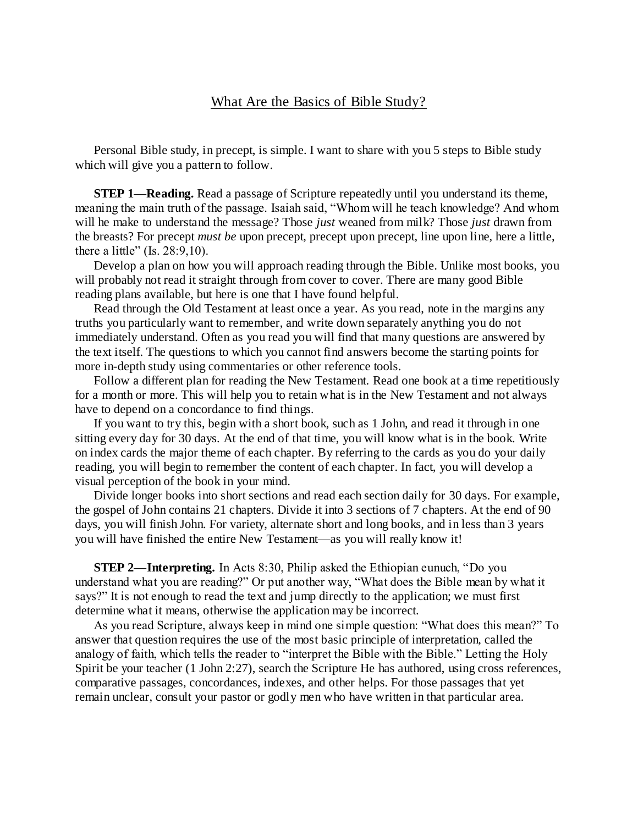## What Are the Basics of Bible Study?

Personal Bible study, in precept, is simple. I want to share with you 5 steps to Bible study which will give you a pattern to follow.

**STEP 1—Reading.** Read a passage of Scripture repeatedly until you understand its theme, meaning the main truth of the passage. Isaiah said, "Whom will he teach knowledge? And whom will he make to understand the message? Those *just* weaned from milk? Those *just* drawn from the breasts? For precept *must be* upon precept, precept upon precept, line upon line, here a little, there a little" (Is. 28:9,10).

Develop a plan on how you will approach reading through the Bible. Unlike most books, you will probably not read it straight through from cover to cover. There are many good Bible reading plans available, but here is one that I have found helpful.

Read through the Old Testament at least once a year. As you read, note in the margins any truths you particularly want to remember, and write down separately anything you do not immediately understand. Often as you read you will find that many questions are answered by the text itself. The questions to which you cannot find answers become the starting points for more in-depth study using commentaries or other reference tools.

Follow a different plan for reading the New Testament. Read one book at a time repetitiously for a month or more. This will help you to retain what is in the New Testament and not always have to depend on a concordance to find things.

If you want to try this, begin with a short book, such as 1 John, and read it through in one sitting every day for 30 days. At the end of that time, you will know what is in the book. Write on index cards the major theme of each chapter. By referring to the cards as you do your daily reading, you will begin to remember the content of each chapter. In fact, you will develop a visual perception of the book in your mind.

Divide longer books into short sections and read each section daily for 30 days. For example, the gospel of John contains 21 chapters. Divide it into 3 sections of 7 chapters. At the end of 90 days, you will finish John. For variety, alternate short and long books, and in less than 3 years you will have finished the entire New Testament—as you will really know it!

**STEP 2—Interpreting.** In Acts 8:30, Philip asked the Ethiopian eunuch, "Do you understand what you are reading?" Or put another way, "What does the Bible mean by what it says?" It is not enough to read the text and jump directly to the application; we must first determine what it means, otherwise the application may be incorrect.

As you read Scripture, always keep in mind one simple question: "What does this mean?" To answer that question requires the use of the most basic principle of interpretation, called the analogy of faith, which tells the reader to "interpret the Bible with the Bible." Letting the Holy Spirit be your teacher (1 John 2:27), search the Scripture He has authored, using cross references, comparative passages, concordances, indexes, and other helps. For those passages that yet remain unclear, consult your pastor or godly men who have written in that particular area.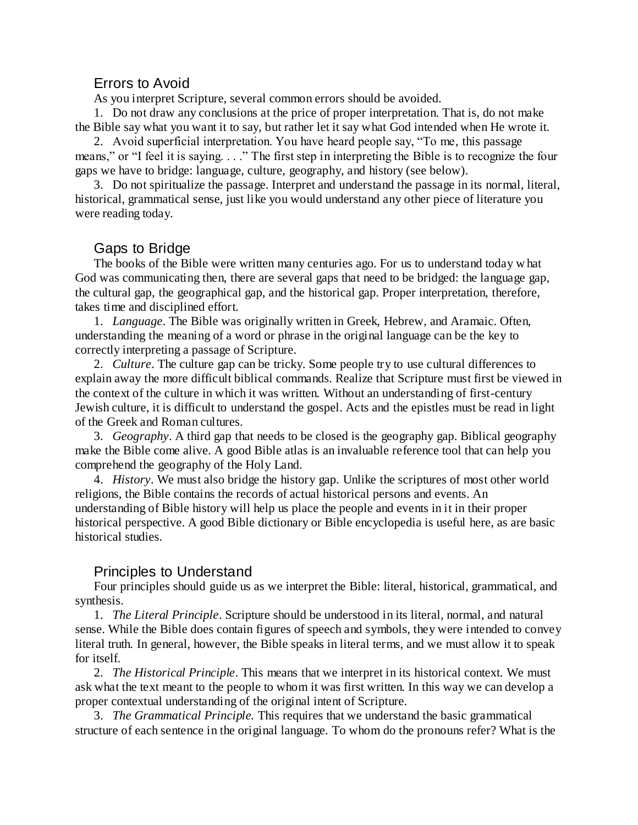## Errors to Avoid

As you interpret Scripture, several common errors should be avoided.

1. Do not draw any conclusions at the price of proper interpretation. That is, do not make the Bible say what you want it to say, but rather let it say what God intended when He wrote it.

2. Avoid superficial interpretation. You have heard people say, "To me, this passage means," or "I feel it is saying. . . ." The first step in interpreting the Bible is to recognize the four gaps we have to bridge: language, culture, geography, and history (see below).

3. Do not spiritualize the passage. Interpret and understand the passage in its normal, literal, historical, grammatical sense, just like you would understand any other piece of literature you were reading today.

## Gaps to Bridge

The books of the Bible were written many centuries ago. For us to understand today w hat God was communicating then, there are several gaps that need to be bridged: the language gap, the cultural gap, the geographical gap, and the historical gap. Proper interpretation, therefore, takes time and disciplined effort.

1. *Language*. The Bible was originally written in Greek, Hebrew, and Aramaic. Often, understanding the meaning of a word or phrase in the original language can be the key to correctly interpreting a passage of Scripture.

2. *Culture*. The culture gap can be tricky. Some people try to use cultural differences to explain away the more difficult biblical commands. Realize that Scripture must first be viewed in the context of the culture in which it was written. Without an understanding of first-century Jewish culture, it is difficult to understand the gospel. Acts and the epistles must be read in light of the Greek and Roman cultures.

3. *Geography*. A third gap that needs to be closed is the geography gap. Biblical geography make the Bible come alive. A good Bible atlas is an invaluable reference tool that can help you comprehend the geography of the Holy Land.

4. *History*. We must also bridge the history gap. Unlike the scriptures of most other world religions, the Bible contains the records of actual historical persons and events. An understanding of Bible history will help us place the people and events in it in their proper historical perspective. A good Bible dictionary or Bible encyclopedia is useful here, as are basic historical studies.

## Principles to Understand

Four principles should guide us as we interpret the Bible: literal, historical, grammatical, and synthesis.

1. *The Literal Principle*. Scripture should be understood in its literal, normal, and natural sense. While the Bible does contain figures of speech and symbols, they were intended to convey literal truth. In general, however, the Bible speaks in literal terms, and we must allow it to speak for itself.

2. *The Historical Principle*. This means that we interpret in its historical context. We must ask what the text meant to the people to whom it was first written. In this way we can develop a proper contextual understanding of the original intent of Scripture.

3. *The Grammatical Principle.* This requires that we understand the basic grammatical structure of each sentence in the original language. To whom do the pronouns refer? What is the